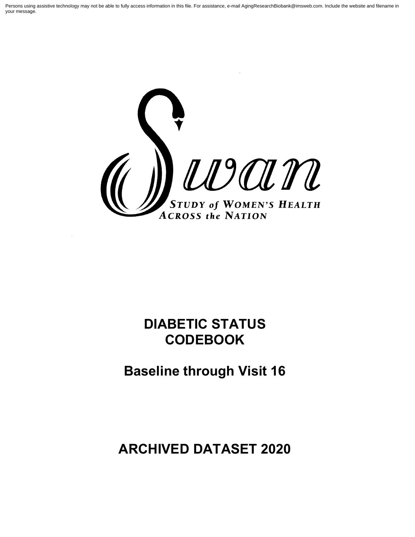Persons using assistive technology may not be able to fully access information in this file. For assistance, e-mail AgingResearchBiobank@imsweb.com. Include the website and filename in your message.



# **DIABETIC STATUS CODEBOOK**

# **Baseline through Visit 16**

# **ARCHIVED DATASET 2020**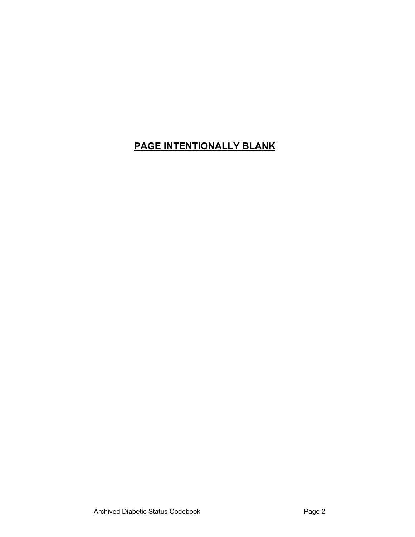## **PAGE INTENTIONALLY BLANK**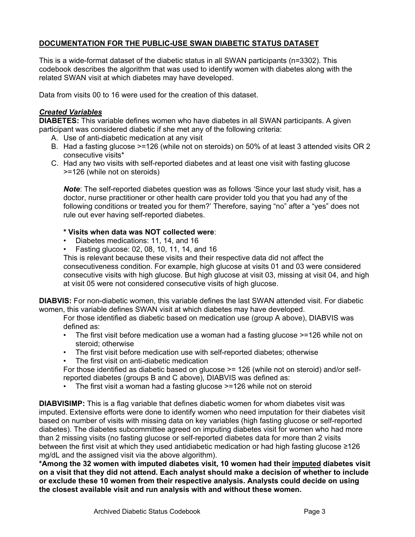### **DOCUMENTATION FOR THE PUBLIC-USE SWAN DIABETIC STATUS DATASET**

This is a wide-format dataset of the diabetic status in all SWAN participants (n=3302). This codebook describes the algorithm that was used to identify women with diabetes along with the related SWAN visit at which diabetes may have developed.

Data from visits 00 to 16 were used for the creation of this dataset.

### *Created Variables*

**DIABETES:** This variable defines women who have diabetes in all SWAN participants. A given participant was considered diabetic if she met any of the following criteria:

- A. Use of anti-diabetic medication at any visit
- B. Had a fasting glucose >=126 (while not on steroids) on 50% of at least 3 attended visits OR 2 consecutive visits\*
- C. Had any two visits with self-reported diabetes and at least one visit with fasting glucose >=126 (while not on steroids)

*Note*: The self-reported diabetes question was as follows 'Since your last study visit, has a doctor, nurse practitioner or other health care provider told you that you had any of the following conditions or treated you for them?' Therefore, saying "no" after a "yes" does not rule out ever having self-reported diabetes.

#### **\* Visits when data was NOT collected were**:

- Diabetes medications: 11, 14, and 16
- Fasting glucose: 02, 08, 10, 11, 14, and 16

This is relevant because these visits and their respective data did not affect the consecutiveness condition. For example, high glucose at visits 01 and 03 were considered consecutive visits with high glucose. But high glucose at visit 03, missing at visit 04, and high at visit 05 were not considered consecutive visits of high glucose.

**DIABVIS:** For non-diabetic women, this variable defines the last SWAN attended visit. For diabetic women, this variable defines SWAN visit at which diabetes may have developed.

For those identified as diabetic based on medication use (group A above), DIABVIS was defined as:

- The first visit before medication use a woman had a fasting glucose >=126 while not on steroid; otherwise
- The first visit before medication use with self-reported diabetes; otherwise
- The first visit on anti-diabetic medication

For those identified as diabetic based on glucose >= 126 (while not on steroid) and/or selfreported diabetes (groups B and C above), DIABVIS was defined as:

• The first visit a woman had a fasting glucose >=126 while not on steroid

**DIABVISIMP:** This is a flag variable that defines diabetic women for whom diabetes visit was imputed. Extensive efforts were done to identify women who need imputation for their diabetes visit based on number of visits with missing data on key variables (high fasting glucose or self-reported diabetes). The diabetes subcommittee agreed on imputing diabetes visit for women who had more than 2 missing visits (no fasting glucose or self-reported diabetes data for more than 2 visits between the first visit at which they used antidiabetic medication or had high fasting glucose ≥126 mg/dL and the assigned visit via the above algorithm).

**\*Among the 32 women with imputed diabetes visit, 10 women had their imputed diabetes visit on a visit that they did not attend. Each analyst should make a decision of whether to include or exclude these 10 women from their respective analysis. Analysts could decide on using the closest available visit and run analysis with and without these women.**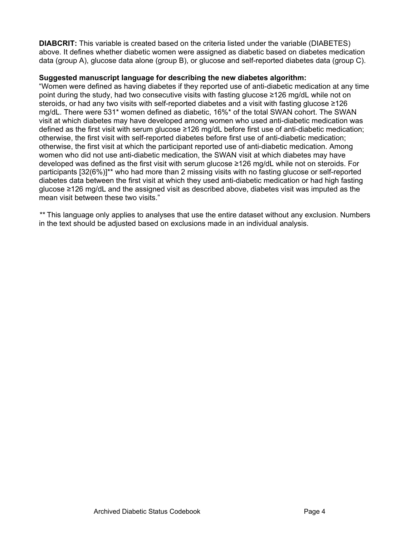**DIABCRIT:** This variable is created based on the criteria listed under the variable (DIABETES) above. It defines whether diabetic women were assigned as diabetic based on diabetes medication data (group A), glucose data alone (group B), or glucose and self-reported diabetes data (group C).

#### **Suggested manuscript language for describing the new diabetes algorithm:**

"Women were defined as having diabetes if they reported use of anti-diabetic medication at any time point during the study, had two consecutive visits with fasting glucose ≥126 mg/dL while not on steroids, or had any two visits with self-reported diabetes and a visit with fasting glucose ≥126 mg/dL. There were 531\* women defined as diabetic, 16%\* of the total SWAN cohort. The SWAN visit at which diabetes may have developed among women who used anti-diabetic medication was defined as the first visit with serum glucose ≥126 mg/dL before first use of anti-diabetic medication; otherwise, the first visit with self-reported diabetes before first use of anti-diabetic medication; otherwise, the first visit at which the participant reported use of anti-diabetic medication. Among women who did not use anti-diabetic medication, the SWAN visit at which diabetes may have developed was defined as the first visit with serum glucose ≥126 mg/dL while not on steroids. For participants [32(6%)]\*\* who had more than 2 missing visits with no fasting glucose or self-reported diabetes data between the first visit at which they used anti-diabetic medication or had high fasting glucose ≥126 mg/dL and the assigned visit as described above, diabetes visit was imputed as the mean visit between these two visits."

*\*\** This language only applies to analyses that use the entire dataset without any exclusion. Numbers in the text should be adjusted based on exclusions made in an individual analysis*.*